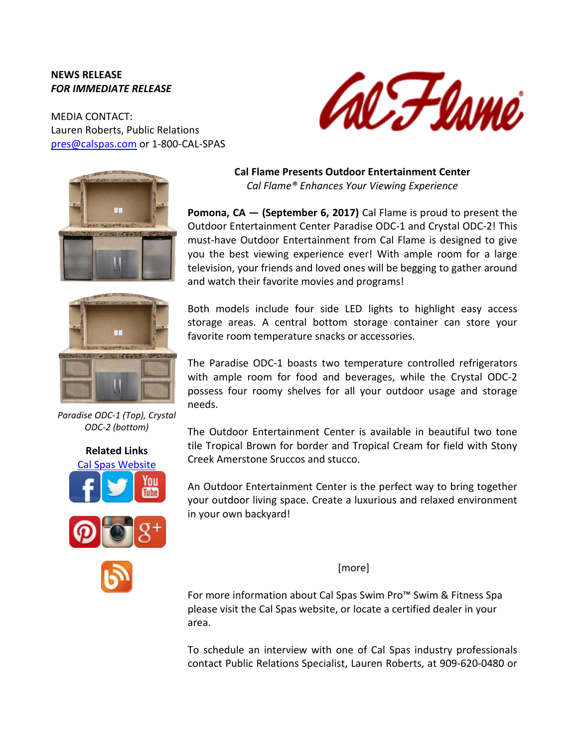## **NEWS RELEASE** *FOR IMMEDIATE RELEASE*

MEDIA CONTACT: Lauren Roberts, Public Relations [pres@calspas.com](mailto:pres@calspas.com) or 1-800-CAL-SPAS







*Paradise ODC-1 (Top), Crystal ODC-2 (bottom)*



**Cal Flame Presents Outdoor Entertainment Center** *Cal Flame® Enhances Your Viewing Experience*

**Pomona, CA — (September 6, 2017)** Cal Flame is proud to present the Outdoor Entertainment Center Paradise ODC-1 and Crystal ODC-2! This must-have Outdoor Entertainment from Cal Flame is designed to give you the best viewing experience ever! With ample room for a large television, your friends and loved ones will be begging to gather around and watch their favorite movies and programs!

Both models include four side LED lights to highlight easy access storage areas. A central bottom storage container can store your favorite room temperature snacks or accessories.

The Paradise ODC-1 boasts two temperature controlled refrigerators with ample room for food and beverages, while the Crystal ODC-2 possess four roomy shelves for all your outdoor usage and storage needs.

The Outdoor Entertainment Center is available in beautiful two tone tile Tropical Brown for border and Tropical Cream for field with Stony Creek Amerstone Sruccos and stucco.

An Outdoor Entertainment Center is the perfect way to bring together your outdoor living space. Create a luxurious and relaxed environment in your own backyard!

[more]

For more information about Cal Spas Swim Pro™ Swim & Fitness Spa please visit the Cal Spas website, or locate a certified dealer in your area.

To schedule an interview with one of Cal Spas industry professionals contact Public Relations Specialist, Lauren Roberts, at 909-620-0480 or